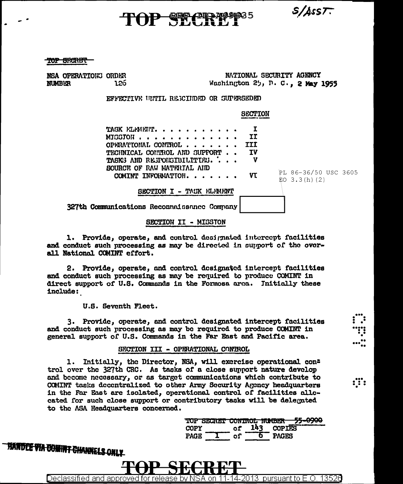$S/A$ ss $T$ .

# ד רמוממומים

TOP SHARET

NSA OPERATIONG ORDER **NUMBER** 126.

NATIONAL SECURITY AGENCY Washington 25, D. C., 2 May 1955

EFFECTIVE UNTIL RESCIIDED OR SUPERSEDED

**SECTION**  $\mathbf{I}$ TASK ELEMENT. . . . . **TT** MIGGION . . . . . . . OPERATIONAL CONTROL . . . . **TII** TV TECHNICAL CONTROL AND SUPPORT TASKS AND RESPONSIBILITIES. . v SOURCE OF RAW MATERIAL AID PL 86-36/50 USC 3605 COMINT INFORMATION. . . . . . **VT**  $EO$  3.3(h)(2) SECTION I - TASK ELEMENT 327th Communications Reconnaissance Company

# SECTION II - MISSTON

1. Provide, operate, and control designated intercept facilities and conduct such processing as may be directed in support of the overall National COMINT effort.

2. Provide, operate, and control designated intercept facilities and conduct such processing as may be required to produce COMINT in direct support of U.S. Commands in the Formosa area. Initially these include:

U.S. Seventh Fleet.

3. Provide, operate, and control designated intercept facilities and conduct such processing as may be required to produce COMINT in general support of U.S. Commands in the Far East and Pacific area.

### SECTION III - OPERATIONAL CONTROL

1. Initially, the Director, NSA, will exercise operational con= trol over the 327th CRC. As tasks of a close support nature develop and become necessary, or as target communications which contribute to COMINT tasks decentralized to other Army Security Agency headquarters in the Far East are isolated, operational control of facilities allocated for such close support or contributory tasks will be delegated to the ASA Headquarters concerned.

|             |        | TOP SECRET CONTROL NUMBER |               | EE ANNA |
|-------------|--------|---------------------------|---------------|---------|
| COPY        |        | L43 -                     | <b>COPIES</b> |         |
| <b>PAGE</b> | - 31 - |                           | PAGES         |         |

:ï:

**TIANTEE VIA COMINT CHANNELS ONLY** 

Declassified and approved for release by NSA on 11-14-2013 pursuant to E.O. 13526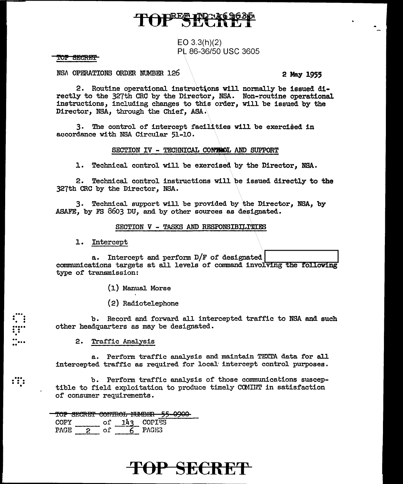# PRES THE

# EO  $3.3(h)(2)$ PL 86-36/50 USC 3605

### TOP SECRET

NSA OPERATIONS ORDER NUMBER 126

2 May 1955

2. Routine operational instructions will normally be issued directly to the 327th CRC by the Director, NSA. Non-routine operational instructions, including changes to this order, will be issued by the Director, NSA, through the Chief, ASA.

3. The control of intercept facilities will be exercised in accordance with NSA Circular 51-10.

## SECTION IV - TECHNICAL CONTROL AND SUPPORT

1. Technical control will be exercised by the Director, NSA.

2. Technical control instructions will be issued directly to the 327th CRC by the Director, NSA.

3. Technical support will be provided by the Director, NSA, by ASAFE, by FS 8603 DU, and by other sources as designated.

### SECTION V - TASKS AND RESPONSIBILITIES

### 1. Intercept

a. Intercept and perform  $D/F$  of designated communications targets at all levels of command involving the following type of transmission:

(1) Manual Morse

(2) Radiotelephone

b. Record and forward all intercepted traffic to NSA and such other headquarters as may be designated.

#### 2. Traffic Analysis

 $\mathbf{::}$ 

a. Perform traffic analysis and maintain TEXTA data for all intercepted traffic as required for local intercept control purposes.

b. Perform traffic analysis of those communications susceptible to field exploitation to produce timely COMINT in satisfaction of consumer requirements.

## TOP SECRET CONTROL NUMBER 59

| COPY  |   | റി | 143 | COPIES |
|-------|---|----|-----|--------|
| PACE. | 2 |    | 6.  | PAGES  |

# TOP SECRET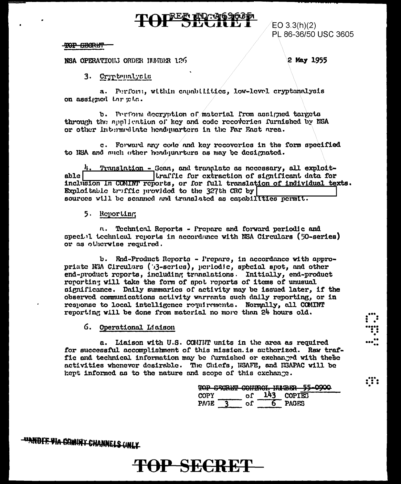# TOP SECRET

NSA OPERATIONS ORDER INJABER 126

2 May 1955

PL 86-36/50 USC 3605

 $EO 3.3(h)(2)$ 

3. Cryptemalysis

a. Perform, within capabilities, low-level cryptonalysis on assigned thr cin.

b. Perform decryption of material from assigned targets through the application of key and code recoveries furnished by NSA or other intermediate headquarters in the Far East area.

c. Forward any code and key recoveries in the form specified to HSA and much other hendquarters as may be designated.

Translation - Scan, and tranglate as necessary, all exploittraffic for extraction of significant data for able | inclusion in COMINT reports, or for full translation of individual texts. Exploitable truffic provided to the 327th CRC by sources will be scanned and translated as capabilities permit.

# 5. Reporting

n. Technical Reports - Prepare and forward periodic and special technical reports in accordance with NSA Circulars (50-series) or as otherwise required.

b. End-Product Reports - Prepare, in accordance with appropriate NSA Circulars (53-series), periodic, special spot, and other end-product reports, including translations. Initially, end-product reporting will take the form of spot reports of items of unusual significance. Daily summaries of activity may be issued later, if the observed communications activity warrants such daily reporting, or in response to local intelligence requirements. Normally, all COMINT reporting will be done from material no more than 24 hours old.

6. Operational Liaison

a. Liaison with U.S. COMMIT units in the area as required for successful accomplishment of this mission. is authorized. Raw traffic and technical information may be furnished or exchanged with these activities whenever desirable. The Chiefs, NSAFE, and NSAPAC will be kept informed as to the nature and scope of this exchange.

|             |  |            | TOP SECRET CONTROL NUMBER 55-0900 |
|-------------|--|------------|-----------------------------------|
| COPY        |  | 143 COPIES |                                   |
| <b>PAGE</b> |  | PAGES      |                                   |

 $\ddotsc$ 

<del>-"IANDIE VIA COMINY CHANNELS (INLY-</del>

# **TOP SECRET**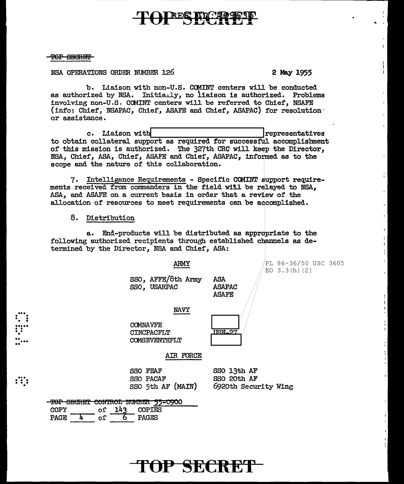# REG HOTA

# TOP SECRET

NSA OPERATIONS ORDER NUMBER 126

# 2 May 1955

л.

b. Liaison with non-U.S. COMINT centers will be conducted as authorized by NSA. Initially, no liaison is authorized. Problems involving non-U.S. COMINT centers will be referred to Chief, NSAFE (info: Chief, NSAPAC, Chief, ASAFE and Chief, ASAPAC) for resolution or assistance.

c. Liaison with |representatives to obtain collateral support as required for successful accomplishment of this mission is authorized. The 327th CRC will keep the Director, NSA, Chief, ASA, Chief, ASAFE and Chief, ASAPAC, informed as to the scope and the nature of this collaboration.

7. Intelligence Requirements - Specific COMINT support requirements received from commanders in the field wiil be relayed to NSA, ASA, and ASAFE on a current basis in order that a review of the allocation of resources to meet requirements can be accomplished.

## 8. Distribution

a. End-products will be distributed as appropriate to the following authorized recipients through established channels as determined by the Director, NSA and Chief, ASA:

ARMY

SSO, AFFE/8th Army SSO, USARPAC

**NAVY** 

**COMNAVFE CINCPACFLT COMSEVENTHFLT** 

**SSO FEAF** 

SSO PACAF

SSO 5th AF (MAIN)



**ASA** 

**ASAPAC ASAFE** 

AIR FORCE

SSO 13th AF SSO 20th AF 6920th Security Wing

| mon         | COMPTO CASTRAL |               |       | <del>ioi secrei conirol number 55-090</del> 0 |
|-------------|----------------|---------------|-------|-----------------------------------------------|
| COPY        |                | of 143 COPIES |       |                                               |
| <b>PAGF</b> |                |               | PAGES |                                               |

 $\mathbf{f}$ 

TOP SECRET

PL 86-36/50 USC 3605 EO  $3.3(h)(2)$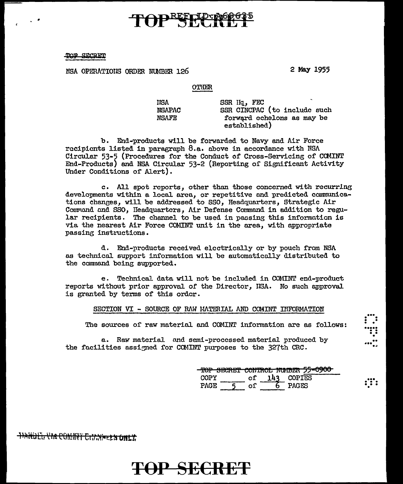## <u>חיהופריהם ממח</u>

NSA OPERATIONS ORDER NUMBER 126

2 May 1955

#### **OTHER**

| IISA          | SSR Hq, FEC                  |
|---------------|------------------------------|
| <b>NSAPAC</b> | SSR CINCPAC (to include such |
| NSAFE         | forward echelons as may be   |
|               | established)                 |

b. End-products will be forwarded to Navy and Air Force recipients listed in paragraph 8.a. above in accordance with NSA Circular 53-5 (Procedures for the Conduct of Cross-Servicing of COMINT End-Products) and NSA Circular 53-2 (Reporting of Significant Activity Under Conditions of Alert).

c. All spot reports, other than those concerned with recurring developments within a local area, or repetitive and predicted communications changes, will be addressed to SSO, Headquarters, Strategic Air Command and SSO, Headquarters, Air Defense Command in addition to regular recipients. The channel to be used in passing this information is via the nearest Air Force COMINT unit in the area, with appropriate passing instructions.

d. End-products received electrically or by pouch from NSA as technical support information will be automatically distributed to the command being supported.

e. Technical data will not be included in COMINT end-product reports without prior approval of the Director, ISA. No such approval is granted by terms of this order.

SECTION VI - SOURCE OF RAW MATERIAL AND COMINT INFORMATION

The sources of raw material and COMINT information are as follows:

a. Raw material and semi-processed material produced by the facilities assigned for COMINT purposes to the 327th CRC.

|             |      | <u>tor podne contual mander is above</u> |  |
|-------------|------|------------------------------------------|--|
| <b>COPY</b> | ∩f'. | $143$ COPIES                             |  |
| アハベア        |      | ኮለሲፐደ                                    |  |
|             |      |                                          |  |

:11

**TIARDIL VIA COMINT CITARELS ONLY** 

# **TOP SECRET**